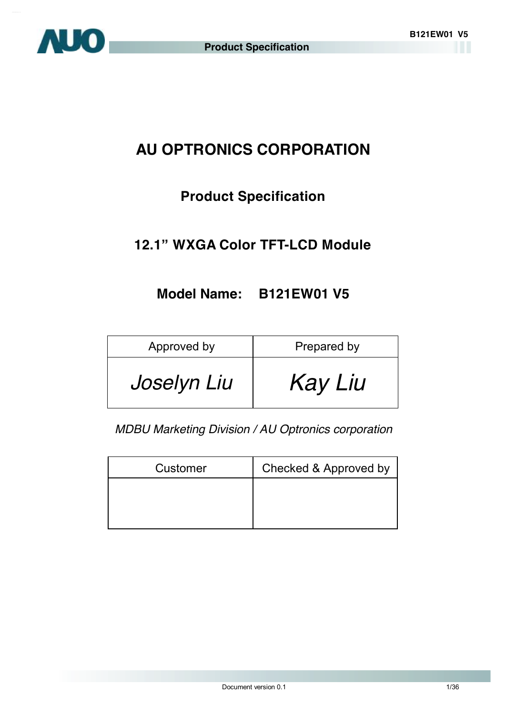

# **AU OPTRONICS CORPORATION**

# **Product Specification**

### **12.1" WXGA Color TFT-LCD Module**

### **Model Name: B121EW01 V5**

| Approved by | Prepared by    |
|-------------|----------------|
| Joselyn Liu | <b>Kay Liu</b> |

*MDBU Marketing Division / AU Optronics corporation*

| Customer | Checked & Approved by |
|----------|-----------------------|
|          |                       |
|          |                       |
|          |                       |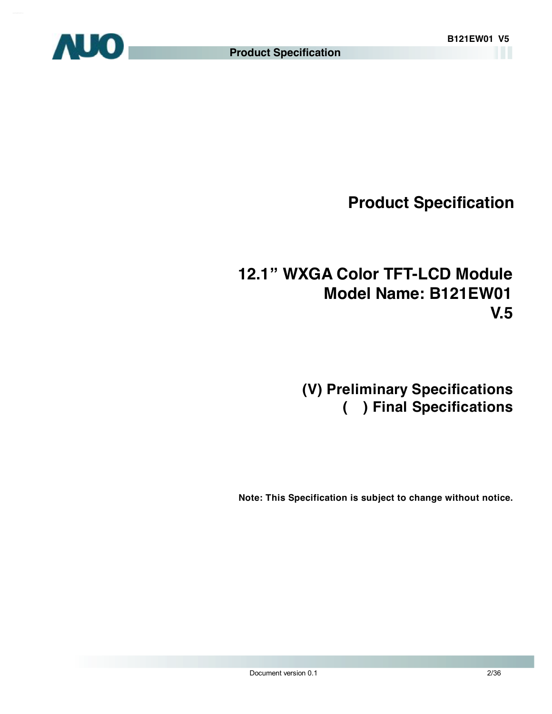

# **12.1" WXGA Color TFT-LCD Module Model Name: B121EW01 V.5**

# **(V) Preliminary Specifications ( ) Final Specifications**

 **Note: This Specification is subject to change without notice.**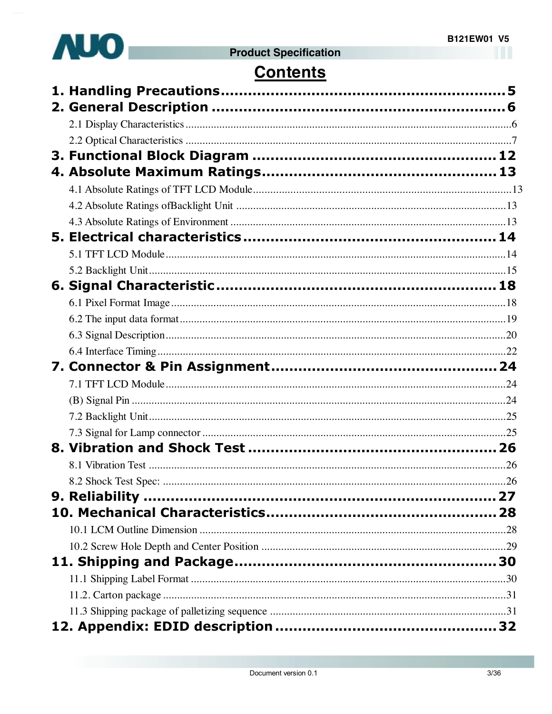

# **Contents**

| 8.2 Shock Test Spec: . |  |
|------------------------|--|
|                        |  |
|                        |  |
|                        |  |
|                        |  |
|                        |  |
|                        |  |
|                        |  |
|                        |  |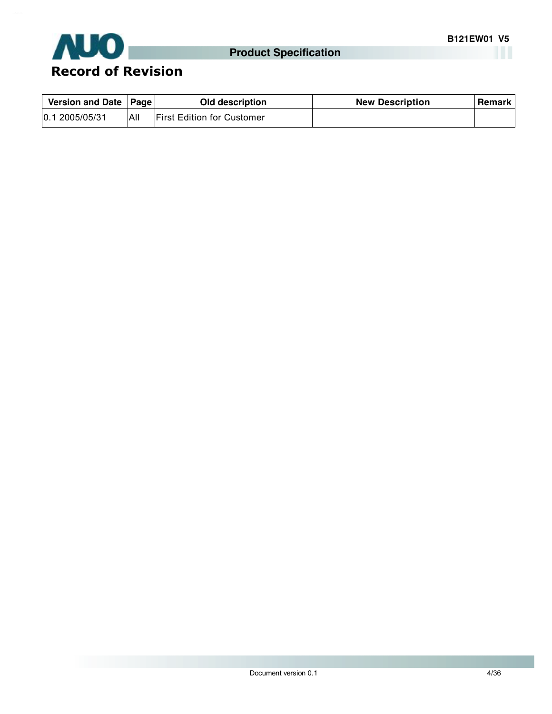

| Version and Date   Page |     | Old description                   | <b>New Description</b> | Remark |
|-------------------------|-----|-----------------------------------|------------------------|--------|
| 0.1 2005/05/31          | All | <b>First Edition for Customer</b> |                        |        |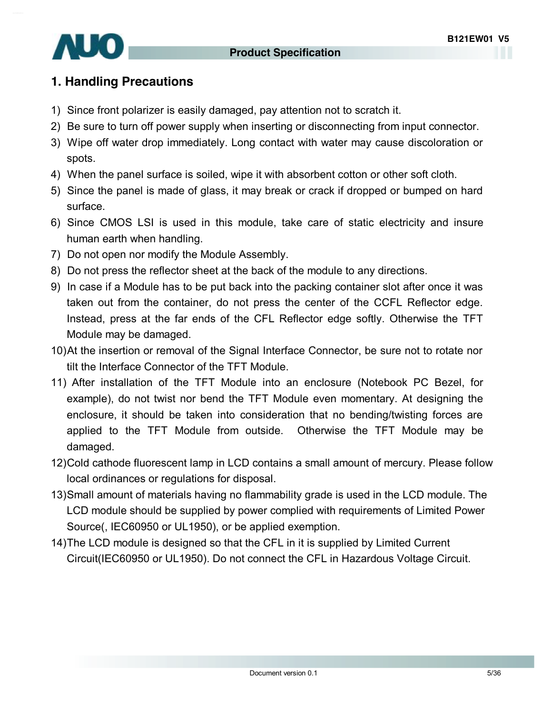

### **1. Handling Precautions**

- 1) Since front polarizer is easily damaged, pay attention not to scratch it.
- 2) Be sure to turn off power supply when inserting or disconnecting from input connector.
- 3) Wipe off water drop immediately. Long contact with water may cause discoloration or spots.
- 4) When the panel surface is soiled, wipe it with absorbent cotton or other soft cloth.
- 5) Since the panel is made of glass, it may break or crack if dropped or bumped on hard surface.
- 6) Since CMOS LSI is used in this module, take care of static electricity and insure human earth when handling.
- 7) Do not open nor modify the Module Assembly.
- 8) Do not press the reflector sheet at the back of the module to any directions.
- 9) In case if a Module has to be put back into the packing container slot after once it was taken out from the container, do not press the center of the CCFL Reflector edge. Instead, press at the far ends of the CFL Reflector edge softly. Otherwise the TFT Module may be damaged.
- 10)At the insertion or removal of the Signal Interface Connector, be sure not to rotate nor tilt the Interface Connector of the TFT Module.
- 11) After installation of the TFT Module into an enclosure (Notebook PC Bezel, for example), do not twist nor bend the TFT Module even momentary. At designing the enclosure, it should be taken into consideration that no bending/twisting forces are applied to the TFT Module from outside. Otherwise the TFT Module may be damaged.
- 12)Cold cathode fluorescent lamp in LCD contains a small amount of mercury. Please follow local ordinances or regulations for disposal.
- 13)Small amount of materials having no flammability grade is used in the LCD module. The LCD module should be supplied by power complied with requirements of Limited Power Source(, IEC60950 or UL1950), or be applied exemption.
- 14)The LCD module is designed so that the CFL in it is supplied by Limited Current Circuit(IEC60950 or UL1950). Do not connect the CFL in Hazardous Voltage Circuit.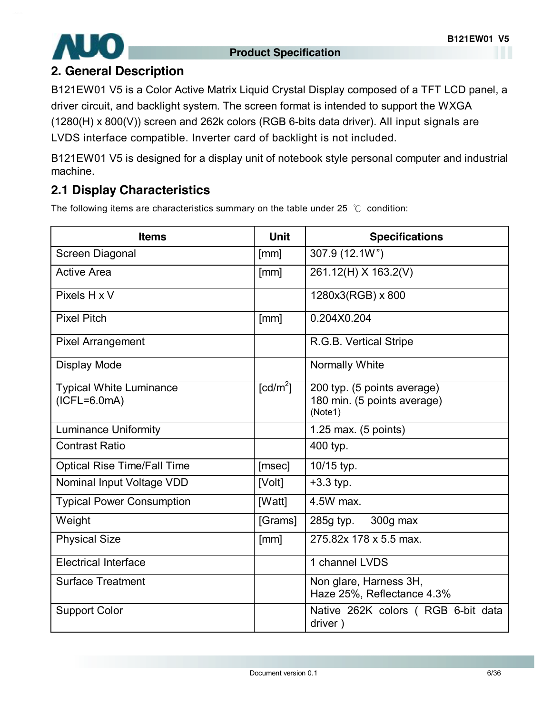

### **2. General Description**

B121EW01 V5 is a Color Active Matrix Liquid Crystal Display composed of a TFT LCD panel, a driver circuit, and backlight system. The screen format is intended to support the WXGA (1280(H) x 800(V)) screen and 262k colors (RGB 6-bits data driver). All input signals are LVDS interface compatible. Inverter card of backlight is not included.

B121EW01 V5 is designed for a display unit of notebook style personal computer and industrial machine.

### **2.1 Display Characteristics**

The following items are characteristics summary on the table under 25 ℃ condition:

| <b>Items</b>                                     | <b>Unit</b>            | <b>Specifications</b>                                                 |
|--------------------------------------------------|------------------------|-----------------------------------------------------------------------|
| Screen Diagonal                                  | [mm]                   | 307.9 (12.1W")                                                        |
| <b>Active Area</b>                               | [mm]                   | 261.12(H) X 163.2(V)                                                  |
| Pixels H x V                                     |                        | 1280x3(RGB) x 800                                                     |
| <b>Pixel Pitch</b>                               | [mm]                   | 0.204X0.204                                                           |
| <b>Pixel Arrangement</b>                         |                        | R.G.B. Vertical Stripe                                                |
| Display Mode                                     |                        | <b>Normally White</b>                                                 |
| <b>Typical White Luminance</b><br>$(ICFL=6.0mA)$ | $\lceil cd/m^2 \rceil$ | 200 typ. (5 points average)<br>180 min. (5 points average)<br>(Note1) |
| <b>Luminance Uniformity</b>                      |                        | 1.25 max. $(5 \text{ points})$                                        |
| <b>Contrast Ratio</b>                            |                        | 400 typ.                                                              |
| <b>Optical Rise Time/Fall Time</b>               | [msec]                 | 10/15 typ.                                                            |
| Nominal Input Voltage VDD                        | [Volt]                 | $+3.3$ typ.                                                           |
| <b>Typical Power Consumption</b>                 | [Watt]                 | 4.5W max.                                                             |
| Weight                                           | [Grams]                | 300g max<br>285g typ.                                                 |
| <b>Physical Size</b>                             | [mm]                   | 275.82x 178 x 5.5 max.                                                |
| <b>Electrical Interface</b>                      |                        | 1 channel LVDS                                                        |
| <b>Surface Treatment</b>                         |                        | Non glare, Harness 3H,<br>Haze 25%, Reflectance 4.3%                  |
| <b>Support Color</b>                             |                        | Native 262K colors (RGB 6-bit data<br>driver)                         |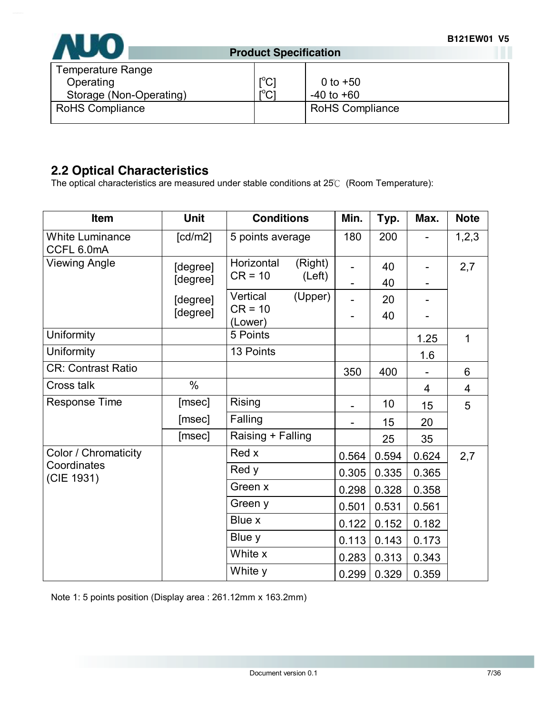

| $\mathsf{I}^{\circ}$ C<br>$r^0$ רי | 0 to $+50$<br>$-40$ to $+60$ |
|------------------------------------|------------------------------|
|                                    | <b>RoHS Compliance</b>       |
|                                    | ◡                            |

### **2.2 Optical Characteristics**

The optical characteristics are measured under stable conditions at 25℃ (Room Temperature):

| Item                                 | <b>Unit</b> | <b>Conditions</b>     | Min.  | Typ.  | Max.           | <b>Note</b> |
|--------------------------------------|-------------|-----------------------|-------|-------|----------------|-------------|
| <b>White Luminance</b><br>CCFL 6.0mA | [cd/m2]     | 5 points average      | 180   | 200   |                | 1, 2, 3     |
| <b>Viewing Angle</b>                 | [degree]    | Horizontal<br>(Right) |       | 40    |                | 2,7         |
|                                      | [degree]    | $CR = 10$<br>(Left)   |       | 40    |                |             |
|                                      | [degree]    | Vertical<br>(Upper)   |       | 20    |                |             |
|                                      | [degree]    | $CR = 10$<br>(Lower)  |       | 40    |                |             |
| Uniformity                           |             | 5 Points              |       |       | 1.25           | 1           |
| Uniformity                           |             | 13 Points             |       |       | 1.6            |             |
| <b>CR: Contrast Ratio</b>            |             |                       | 350   | 400   |                | 6           |
| Cross talk                           | $\%$        |                       |       |       | $\overline{4}$ | 4           |
| <b>Response Time</b>                 | [msec]      | <b>Rising</b>         |       | 10    | 15             | 5           |
|                                      | [msec]      | Falling               |       | 15    | 20             |             |
|                                      | [msec]      | Raising + Falling     |       | 25    | 35             |             |
| Color / Chromaticity                 |             | Red x                 | 0.564 | 0.594 | 0.624          | 2,7         |
| Coordinates<br>(CIE 1931)            |             | Red y                 | 0.305 | 0.335 | 0.365          |             |
|                                      |             | Green x               | 0.298 | 0.328 | 0.358          |             |
|                                      |             | Green y               | 0.501 | 0.531 | 0.561          |             |
|                                      |             | Blue x                | 0.122 | 0.152 | 0.182          |             |
|                                      |             | Blue y                | 0.113 | 0.143 | 0.173          |             |
|                                      |             | White x               | 0.283 | 0.313 | 0.343          |             |
|                                      |             | White y               | 0.299 | 0.329 | 0.359          |             |

Note 1: 5 points position (Display area : 261.12mm x 163.2mm)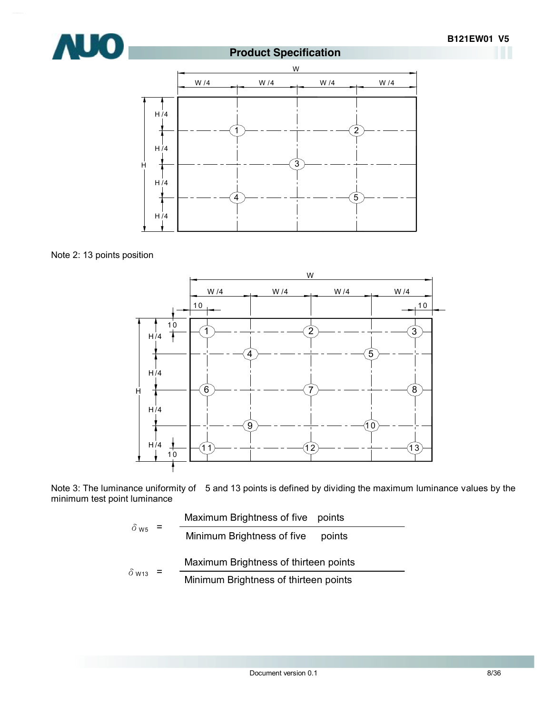



Note 2: 13 points position



Note 3: The luminance uniformity of 5 and 13 points is defined by dividing the maximum luminance values by the minimum test point luminance

$$
\delta_{\text{W5}} = \frac{\text{Maximum brightness of five points}}{\text{Minimum brightness of five points}}
$$
\n
$$
\delta_{\text{W13}} = \frac{\text{Maximum brightness of thirteen points}}{\text{Minimum brightness of thirteen points}}
$$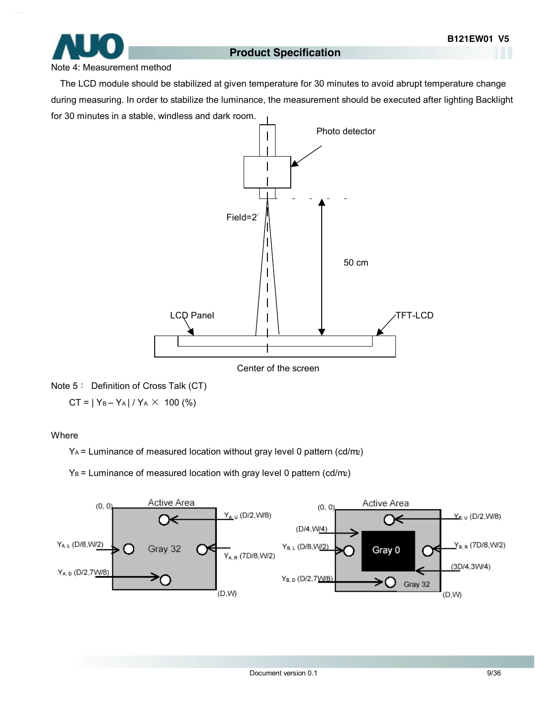

#### Note 4: Measurement method

The LCD module should be stabilized at given temperature for 30 minutes to avoid abrupt temperature change during measuring. In order to stabilize the luminance, the measurement should be executed after lighting Backlight for 30 minutes in a stable, windless and dark room.



Note 5: Definition of Cross Talk (CT)

 $CT = |Y_B - Y_A| / Y_A \times 100$  (%)

#### **Where**

 $Y_A$  = Luminance of measured location without gray level 0 pattern (cd/m2)

 $Y_B$  = Luminance of measured location with gray level 0 pattern (cd/m<sub>2</sub>)

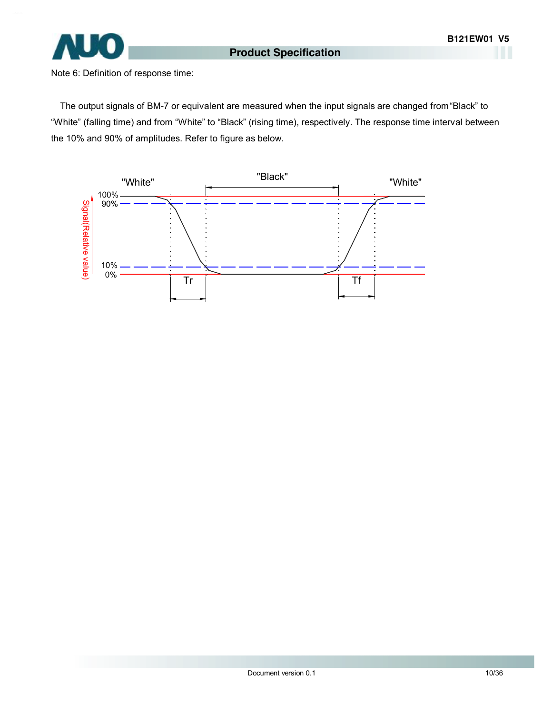

Note 6: Definition of response time:

The output signals of BM-7 or equivalent are measured when the input signals are changed from "Black" to "White" (falling time) and from "White" to "Black" (rising time), respectively. The response time interval between the 10% and 90% of amplitudes. Refer to figure as below.

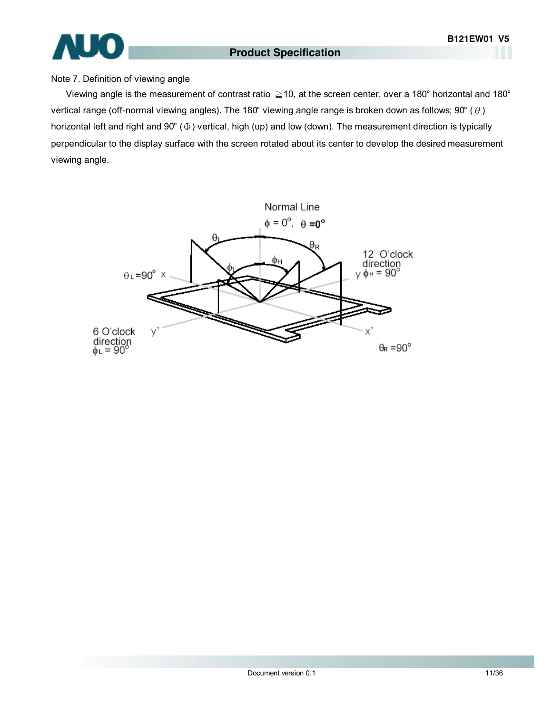# $\overline{1}$

#### **Product Specification**

#### Note 7. Definition of viewing angle

Viewing angle is the measurement of contrast ratio ≧10, at the screen center, over a 180° horizontal and 180° vertical range (off-normal viewing angles). The 180° viewing angle range is broken down as follows; 90° ( $\theta$ ) horizontal left and right and 90° (Φ) vertical, high (up) and low (down). The measurement direction is typically perpendicular to the display surface with the screen rotated about its center to develop the desired measurement viewing angle.

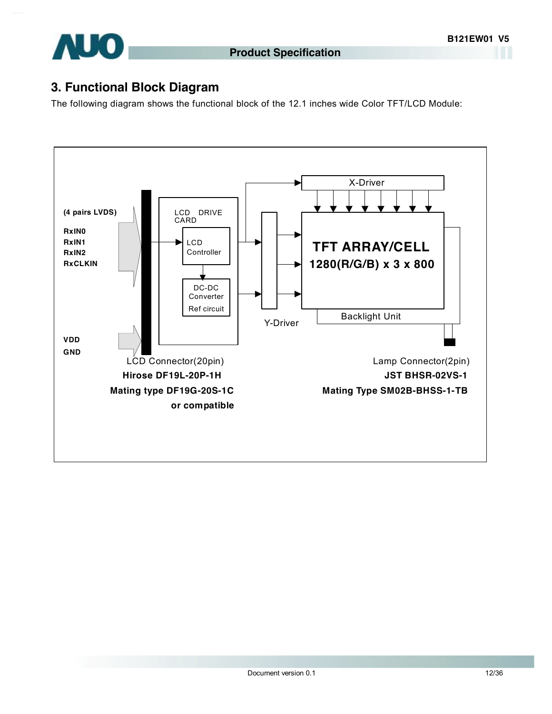

### **3. Functional Block Diagram**

The following diagram shows the functional block of the 12.1 inches wide Color TFT/LCD Module:

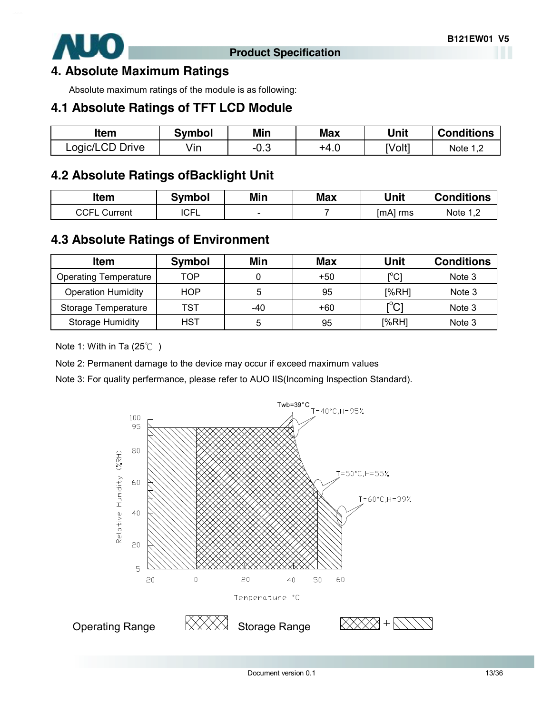

#### **4. Absolute Maximum Ratings**

Absolute maximum ratings of the module is as following:

### **4.1 Absolute Ratings of TFT LCD Module**

| ltem            | Svmbol | Min    | Max  | Unit   | <b>Conditions</b> |
|-----------------|--------|--------|------|--------|-------------------|
| Logic/LCD Drive | √in    | $-0.3$ | +4.ບ | [Volt] | Note 1,           |

### **4.2 Absolute Ratings ofBacklight Unit**

| Item                | <b>Symbol</b> | Min    | <b>Max</b> | Unit     | <b>Conditions</b> |
|---------------------|---------------|--------|------------|----------|-------------------|
| <b>CCFL Current</b> | <b>ICFL</b>   | $\sim$ |            | [mA] rms | Note $1,2$        |
|                     |               |        |            |          |                   |

### **4.3 Absolute Ratings of Environment**

| <b>Item</b>                  | <b>Symbol</b> | Min | <b>Max</b> | <b>Unit</b>                             | <b>Conditions</b> |
|------------------------------|---------------|-----|------------|-----------------------------------------|-------------------|
| <b>Operating Temperature</b> | TOP           |     | $+50$      | $\mathsf{I}^\circ\mathsf{C} \mathsf{I}$ | Note 3            |
| <b>Operation Humidity</b>    | HOP           | 5   | 95         | [%RH]                                   | Note 3            |
| Storage Temperature          | TST           | -40 | +60        | $\mathop{\rm l}{\rm ^oCl}$              | Note 3            |
| <b>Storage Humidity</b>      | HST           | 5   | 95         | [%RH]                                   | Note 3            |

Note 1: With in Ta (25℃ )

Note 2: Permanent damage to the device may occur if exceed maximum values

Note 3: For quality perfermance, please refer to AUO IIS(Incoming Inspection Standard).

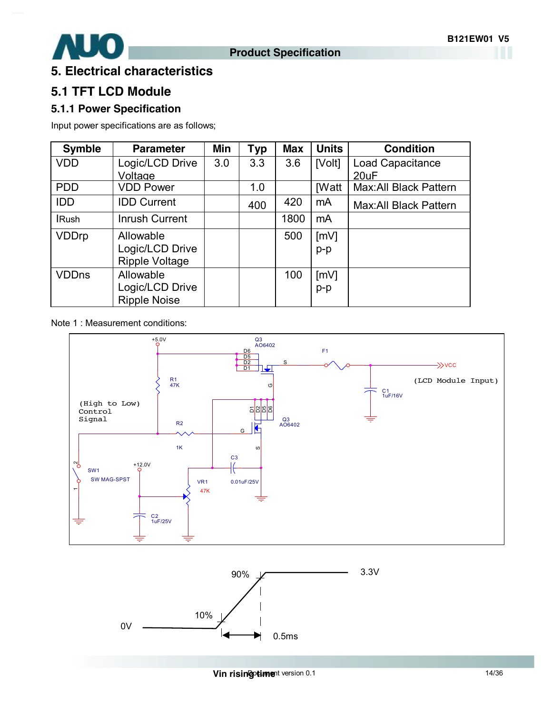

### **5. Electrical characteristics**

### **5.1 TFT LCD Module**

#### **5.1.1 Power Specification**

Input power specifications are as follows;

| <b>Symble</b> | <b>Parameter</b>      | Min | <b>Typ</b> | <b>Max</b> | <b>Units</b> | <b>Condition</b>       |
|---------------|-----------------------|-----|------------|------------|--------------|------------------------|
| <b>VDD</b>    | Logic/LCD Drive       | 3.0 | 3.3        | 3.6        | [Volt]       | Load Capacitance       |
|               | Voltage               |     |            |            |              | 20uF                   |
| <b>PDD</b>    | <b>VDD Power</b>      |     | 1.0        |            | <b>IWatt</b> | Max: All Black Pattern |
| <b>IDD</b>    | <b>IDD Current</b>    |     | 400        | 420        | mA           | Max: All Black Pattern |
| <b>IRush</b>  | <b>Inrush Current</b> |     |            | 1800       | mA           |                        |
| <b>VDDrp</b>  | Allowable             |     |            | 500        | [mV]         |                        |
|               | Logic/LCD Drive       |     |            |            | $p-p$        |                        |
|               | <b>Ripple Voltage</b> |     |            |            |              |                        |
| <b>VDDns</b>  | Allowable             |     |            | 100        | [mV]         |                        |
|               | Logic/LCD Drive       |     |            |            | $p-p$        |                        |
|               | <b>Ripple Noise</b>   |     |            |            |              |                        |

Note 1 : Measurement conditions:



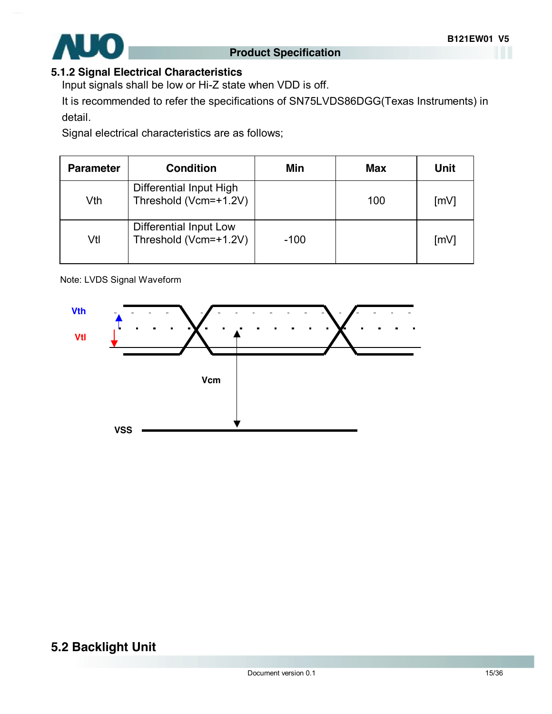

#### **5.1.2 Signal Electrical Characteristics**

Input signals shall be low or Hi-Z state when VDD is off.

It is recommended to refer the specifications of SN75LVDS86DGG(Texas Instruments) in detail.

Signal electrical characteristics are as follows;

| <b>Parameter</b> | <b>Condition</b>                                 | Min    | <b>Max</b> | Unit               |
|------------------|--------------------------------------------------|--------|------------|--------------------|
| Vth              | Differential Input High<br>Threshold (Vcm=+1.2V) |        | 100        | $\lceil mV \rceil$ |
| Vtl              | Differential Input Low<br>Threshold (Vcm=+1.2V)  | $-100$ |            | $\lceil mV \rceil$ |

Note: LVDS Signal Waveform



### **5.2 Backlight Unit**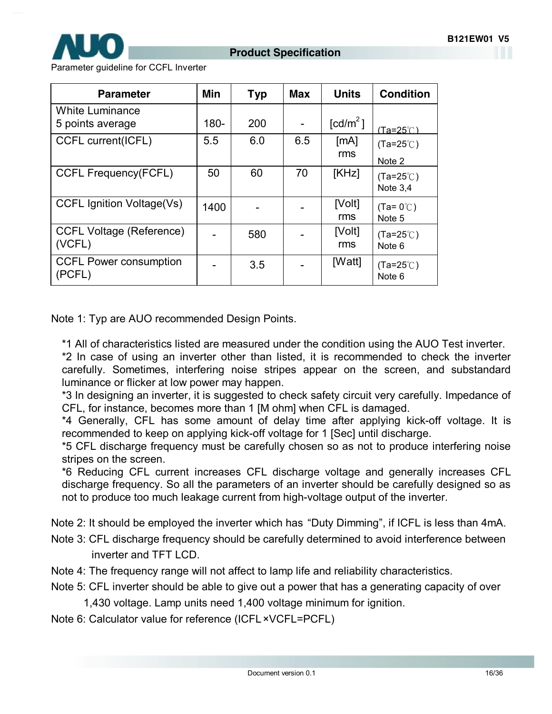

Parameter guideline for CCFL Inverter

| <b>Parameter</b>                          | Min     | Typ | <b>Max</b> | <b>Units</b>           | <b>Condition</b>                        |
|-------------------------------------------|---------|-----|------------|------------------------|-----------------------------------------|
| White Luminance<br>5 points average       | $180 -$ | 200 |            | $\lceil cd/m^2 \rceil$ | (Ta=25°் )                              |
| CCFL current(ICFL)                        | 5.5     | 6.0 | 6.5        | [mA]<br>rms            | $(Ta=25^{\circ}C)$<br>Note 2            |
| <b>CCFL Frequency(FCFL)</b>               | 50      | 60  | 70         | [KHz]                  | $(Ta=25^{\circ}C)$<br>Note 3,4          |
| <b>CCFL Ignition Voltage(Vs)</b>          | 1400    |     |            | [Volt]<br>rms          | $(Ta=0^{\circ}C)$<br>Note 5             |
| <b>CCFL Voltage (Reference)</b><br>(VCFL) |         | 580 |            | [Volt]<br>rms          | $(Ta=25^{\circ}C)$<br>Note 6            |
| <b>CCFL Power consumption</b><br>(PCFL)   |         | 3.5 |            | [Watt]                 | $(Ta=25^{\circ}C)$<br>Note <sub>6</sub> |

Note 1: Typ are AUO recommended Design Points.

\*1 All of characteristics listed are measured under the condition using the AUO Test inverter.

\*2 In case of using an inverter other than listed, it is recommended to check the inverter carefully. Sometimes, interfering noise stripes appear on the screen, and substandard luminance or flicker at low power may happen.

\*3 In designing an inverter, it is suggested to check safety circuit very carefully. Impedance of CFL, for instance, becomes more than 1 [M ohm] when CFL is damaged.

\*4 Generally, CFL has some amount of delay time after applying kick-off voltage. It is recommended to keep on applying kick-off voltage for 1 [Sec] until discharge.

\*5 CFL discharge frequency must be carefully chosen so as not to produce interfering noise stripes on the screen.

\*6 Reducing CFL current increases CFL discharge voltage and generally increases CFL discharge frequency. So all the parameters of an inverter should be carefully designed so as not to produce too much leakage current from high-voltage output of the inverter.

Note 2: It should be employed the inverter which has "Duty Dimming", if ICFL is less than 4mA.

- Note 3: CFL discharge frequency should be carefully determined to avoid interference between inverter and TFT LCD.
- Note 4: The frequency range will not affect to lamp life and reliability characteristics.
- Note 5: CFL inverter should be able to give out a power that has a generating capacity of over

1,430 voltage. Lamp units need 1,400 voltage minimum for ignition.

Note 6: Calculator value for reference (ICFL×VCFL=PCFL)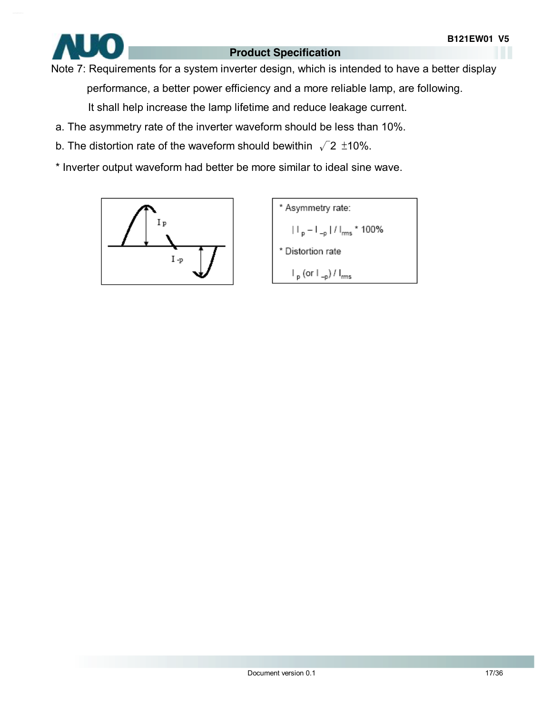

Note 7: Requirements for a system inverter design, which is intended to have a better display performance, a better power efficiency and a more reliable lamp, are following.

It shall help increase the lamp lifetime and reduce leakage current.

- a. The asymmetry rate of the inverter waveform should be less than 10%.
- b. The distortion rate of the waveform should bewithin  $\sqrt{2}$  ±10%.
- \* Inverter output waveform had better be more similar to ideal sine wave.



\* Asymmetry rate:  $|||_{p} - |||_{-p} ||/||_{rms} * 100\%$ \* Distortion rate  $\mathsf{I}_{\mathsf{p}}$  (or  $\mathsf{I}_{\mathsf{-p}}$ ) /  $\mathsf{I}_{\mathsf{rms}}$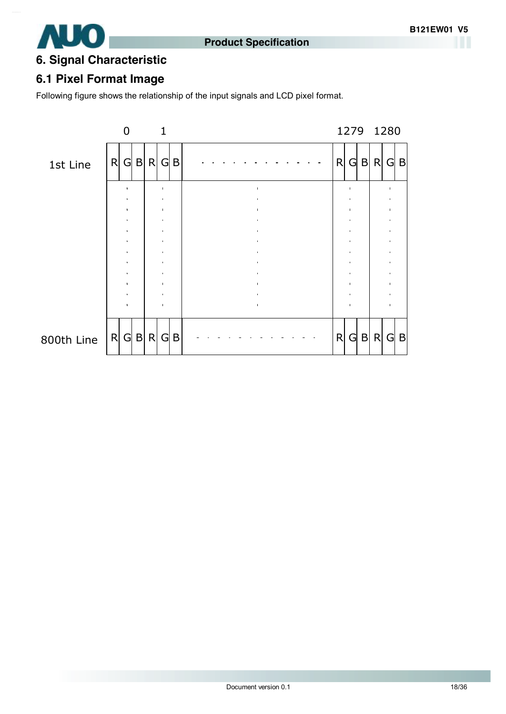



### **6. Signal Characteristic**

### **6.1 Pixel Format Image**

Following figure shows the relationship of the input signals and LCD pixel format.

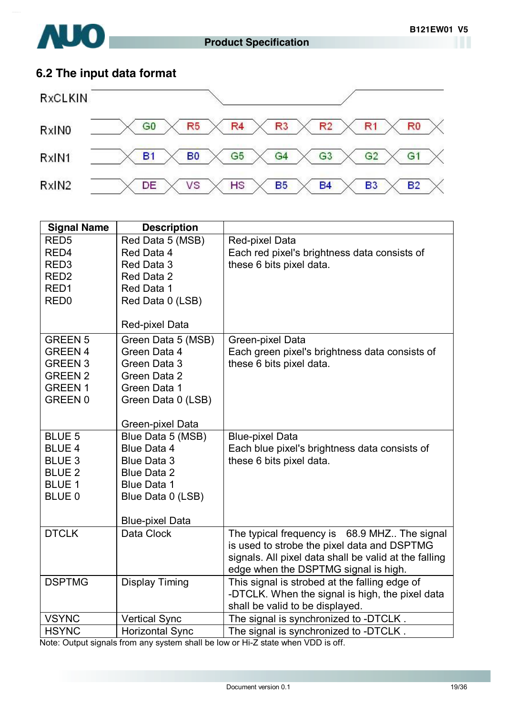

### **6.2 The input data format**



| <b>Signal Name</b> | <b>Description</b>                      |                                                                         |
|--------------------|-----------------------------------------|-------------------------------------------------------------------------|
| RED <sub>5</sub>   | Red Data 5 (MSB)                        | Red-pixel Data                                                          |
| RED4               | Red Data 4                              | Each red pixel's brightness data consists of                            |
| RED <sub>3</sub>   | Red Data 3                              | these 6 bits pixel data.                                                |
| RED <sub>2</sub>   | Red Data 2                              |                                                                         |
| RED <sub>1</sub>   | Red Data 1                              |                                                                         |
| RED <sub>0</sub>   | Red Data 0 (LSB)                        |                                                                         |
|                    |                                         |                                                                         |
|                    | Red-pixel Data                          |                                                                         |
| <b>GREEN 5</b>     | Green Data 5 (MSB)                      | Green-pixel Data                                                        |
| <b>GREEN 4</b>     | Green Data 4                            | Each green pixel's brightness data consists of                          |
| <b>GREEN 3</b>     | Green Data 3                            | these 6 bits pixel data.                                                |
| <b>GREEN 2</b>     | Green Data 2                            |                                                                         |
| <b>GREEN1</b>      | Green Data 1                            |                                                                         |
| <b>GREEN 0</b>     | Green Data 0 (LSB)                      |                                                                         |
|                    |                                         |                                                                         |
| <b>BLUE 5</b>      | Green-pixel Data                        |                                                                         |
| <b>BLUE 4</b>      | Blue Data 5 (MSB)<br><b>Blue Data 4</b> | <b>Blue-pixel Data</b><br>Each blue pixel's brightness data consists of |
| <b>BLUE 3</b>      | <b>Blue Data 3</b>                      | these 6 bits pixel data.                                                |
| <b>BLUE 2</b>      | <b>Blue Data 2</b>                      |                                                                         |
| <b>BLUE 1</b>      | <b>Blue Data 1</b>                      |                                                                         |
| <b>BLUE 0</b>      | Blue Data 0 (LSB)                       |                                                                         |
|                    |                                         |                                                                         |
|                    | <b>Blue-pixel Data</b>                  |                                                                         |
| <b>DTCLK</b>       | Data Clock                              | The typical frequency is 68.9 MHZ The signal                            |
|                    |                                         | is used to strobe the pixel data and DSPTMG                             |
|                    |                                         | signals. All pixel data shall be valid at the falling                   |
|                    |                                         | edge when the DSPTMG signal is high.                                    |
| <b>DSPTMG</b>      | <b>Display Timing</b>                   | This signal is strobed at the falling edge of                           |
|                    |                                         | -DTCLK. When the signal is high, the pixel data                         |
|                    |                                         | shall be valid to be displayed.                                         |
| <b>VSYNC</b>       | <b>Vertical Sync</b>                    | The signal is synchronized to -DTCLK.                                   |
| <b>HSYNC</b>       | <b>Horizontal Sync</b>                  | The signal is synchronized to -DTCLK.                                   |

Note: Output signals from any system shall be low or Hi-Z state when VDD is off.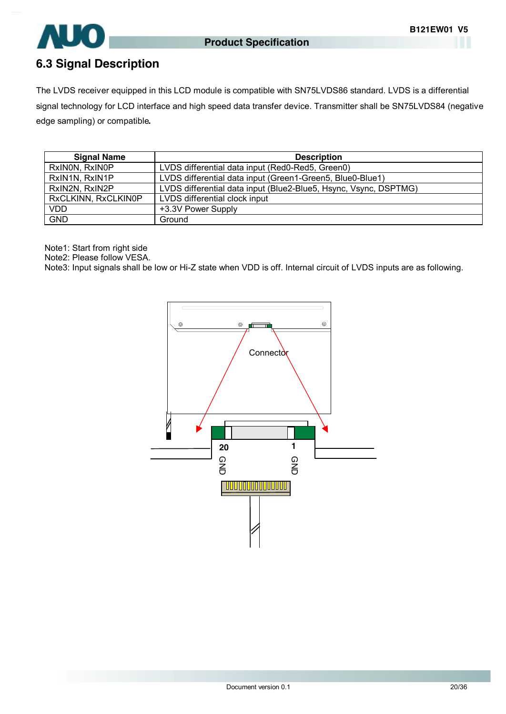

### **6.3 Signal Description**

The LVDS receiver equipped in this LCD module is compatible with SN75LVDS86 standard. LVDS is a differential signal technology for LCD interface and high speed data transfer device. Transmitter shall be SN75LVDS84 (negative edge sampling) or compatible**.** 

| <b>Signal Name</b>  | <b>Description</b>                                               |
|---------------------|------------------------------------------------------------------|
| RxINON, RxINOP      | LVDS differential data input (Red0-Red5, Green0)                 |
| RxIN1N, RxIN1P      | LVDS differential data input (Green1-Green5, Blue0-Blue1)        |
| RxIN2N, RxIN2P      | LVDS differential data input (Blue2-Blue5, Hsync, Vsync, DSPTMG) |
| RxCLKINN, RxCLKIN0P | LVDS differential clock input                                    |
| <b>VDD</b>          | +3.3V Power Supply                                               |
| <b>GND</b>          | Ground                                                           |

Note1: Start from right side

Note2: Please follow VESA.

Note3: Input signals shall be low or Hi-Z state when VDD is off. Internal circuit of LVDS inputs are as following.

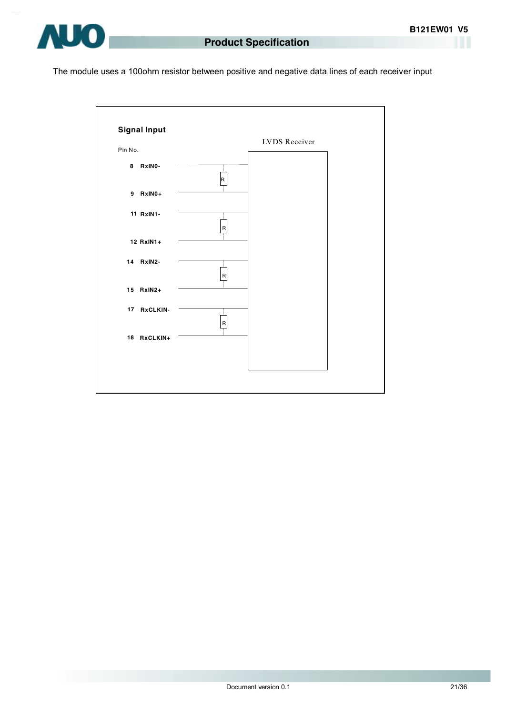

The module uses a 100ohm resistor between positive and negative data lines of each receiver input

|         |             |              | LVDS Receiver |  |
|---------|-------------|--------------|---------------|--|
| Pin No. |             |              |               |  |
|         | 8 RxINO-    | R            |               |  |
|         | 9 RxIN0+    |              |               |  |
|         | 11 RxIN1-   |              |               |  |
|         | 12 RxIN1+   | $\mathsf{R}$ |               |  |
|         | 14 RxIN2-   |              |               |  |
|         | 15 RxIN2+   | R            |               |  |
|         | 17 RxCLKIN- |              |               |  |
|         | 18 RxCLKIN+ | $\mathsf{R}$ |               |  |
|         |             |              |               |  |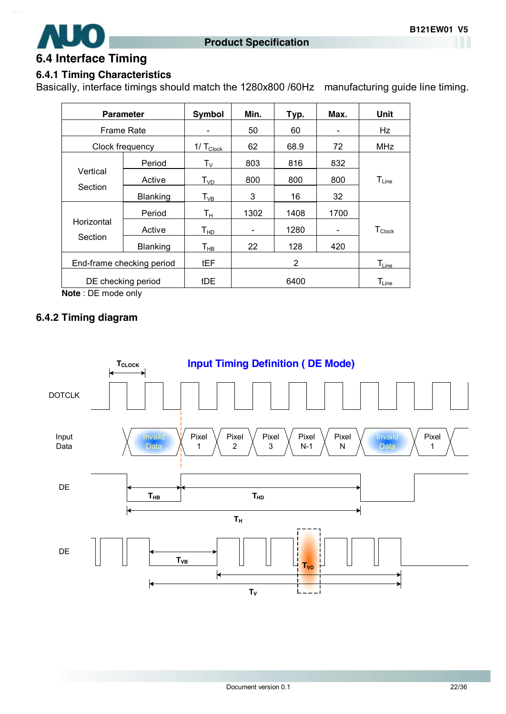

#### **6.4 Interface Timing**

#### **6.4.1 Timing Characteristics**

Basically, interface timings should match the 1280x800 /60Hz manufacturing guide line timing.

| <b>Parameter</b>          |          | Symbol                        | Min.                     | Typ. | Max.                     | <b>Unit</b>        |
|---------------------------|----------|-------------------------------|--------------------------|------|--------------------------|--------------------|
| <b>Frame Rate</b>         |          |                               | 50                       | 60   |                          | Hz                 |
| Clock frequency           |          | $1/\mathsf{T}_{\text{Clock}}$ | 62                       | 68.9 | 72                       | <b>MHz</b>         |
|                           | Period   | $\mathsf{T}_\mathsf{V}$       | 803                      | 816  | 832                      |                    |
| Vertical                  | Active   | T <sub>VD</sub>               | 800                      | 800  | 800                      | $T_{Line}$         |
| Section                   | Blanking | $T_{VB}$                      | 3                        | 16   | 32                       |                    |
|                           | Period   | Tн                            | 1302                     | 1408 | 1700                     |                    |
| Horizontal                | Active   | T <sub>HD</sub>               | $\overline{\phantom{0}}$ | 1280 | $\overline{\phantom{a}}$ | $T_{\text{Clock}}$ |
| Section                   | Blanking | $\mathsf{T}_{\mathsf{HB}}$    | 22                       | 128  | 420                      |                    |
| End-frame checking period |          | tEF                           |                          | 2    |                          | $T_{Line}$         |
| DE checking period        |          | tDE                           |                          | 6400 |                          | $T_{Line}$         |

**Note** : DE mode only

#### **6.4.2 Timing diagram**

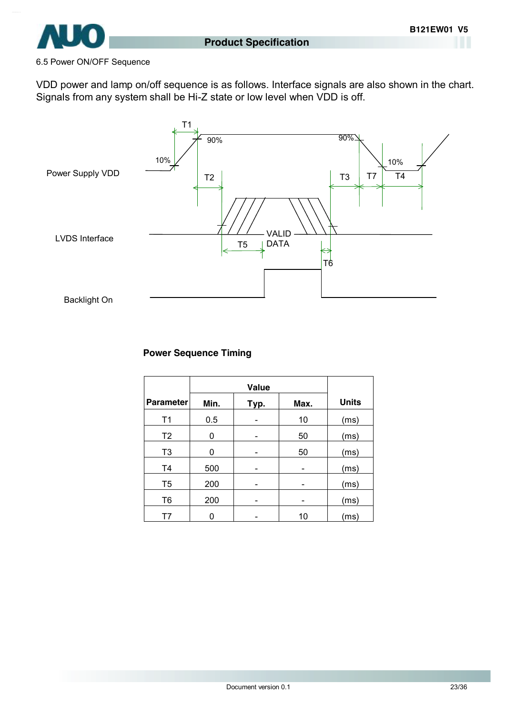

#### 6.5 Power ON/OFF Sequence

VDD power and lamp on/off sequence is as follows. Interface signals are also shown in the chart. Signals from any system shall be Hi-Z state or low level when VDD is off.



#### **Power Sequence Timing**

|                  | Value |      |      |              |
|------------------|-------|------|------|--------------|
| <b>Parameter</b> | Min.  | Typ. | Max. | <b>Units</b> |
| T <sub>1</sub>   | 0.5   |      | 10   | (ms)         |
| T <sub>2</sub>   | 0     |      | 50   | (ms)         |
| T <sub>3</sub>   | 0     |      | 50   | (ms)         |
| T <sub>4</sub>   | 500   |      |      | (ms)         |
| T <sub>5</sub>   | 200   |      |      | (ms)         |
| T <sub>6</sub>   | 200   |      |      | (ms)         |
| T7               | n     |      | 10   | (ms)         |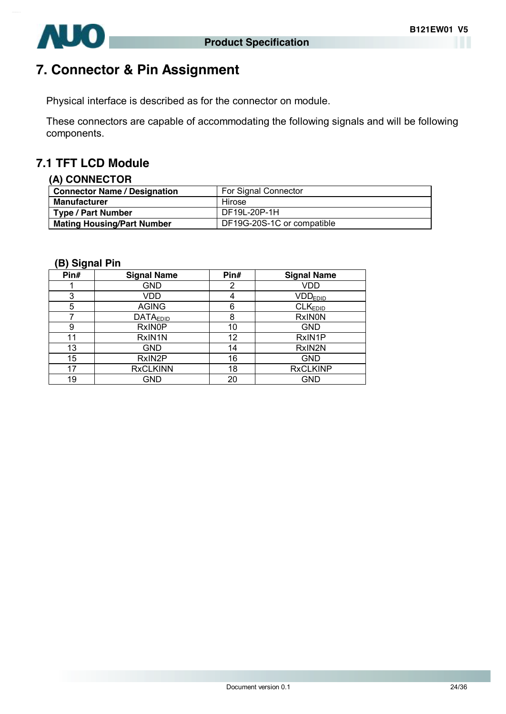

# **7. Connector & Pin Assignment**

Physical interface is described as for the connector on module.

These connectors are capable of accommodating the following signals and will be following components.

### **7.1 TFT LCD Module**

#### **(A) CONNECTOR**

| <b>Connector Name / Designation</b> | For Signal Connector       |
|-------------------------------------|----------------------------|
| <b>Manufacturer</b>                 | Hirose                     |
| Type / Part Number                  | DF19L-20P-1H               |
| <b>Mating Housing/Part Number</b>   | DF19G-20S-1C or compatible |

#### **(B) Signal Pin**

| Pin# | <b>Signal Name</b> | Pin# | <b>Signal Name</b>  |
|------|--------------------|------|---------------------|
|      | <b>GND</b>         | 2    | <b>VDD</b>          |
| 3    | VDD                | 4    | <b>VDDEDID</b>      |
| 5    | <b>AGING</b>       | 6    | CLK <sub>EDID</sub> |
|      | <b>DATAEDID</b>    | 8    | <b>RxINON</b>       |
| 9    | <b>RxINOP</b>      | 10   | <b>GND</b>          |
| 11   | RxIN1N             | 12   | RxIN1P              |
| 13   | <b>GND</b>         | 14   | RxIN2N              |
| 15   | RxIN2P             | 16   | <b>GND</b>          |
| 17   | <b>RxCLKINN</b>    | 18   | <b>RxCLKINP</b>     |
| 19   | GND                | 20   | <b>GND</b>          |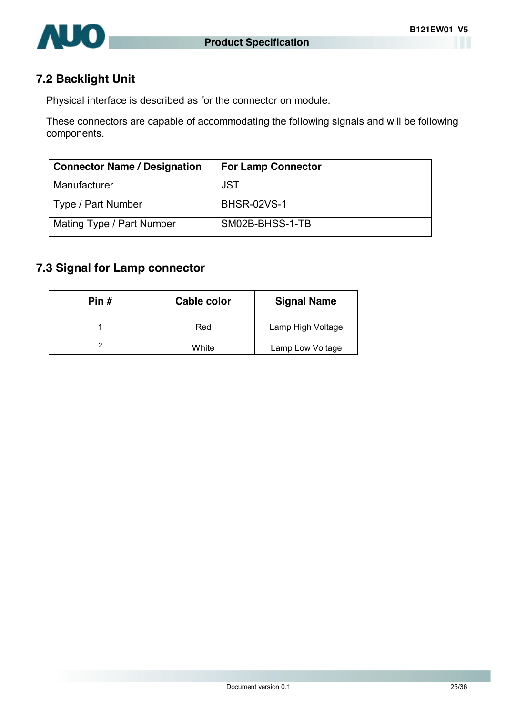

### **7.2 Backlight Unit**

Physical interface is described as for the connector on module.

These connectors are capable of accommodating the following signals and will be following components.

| <b>Connector Name / Designation</b> | <b>For Lamp Connector</b> |
|-------------------------------------|---------------------------|
| Manufacturer                        | <b>JST</b>                |
| Type / Part Number                  | <b>BHSR-02VS-1</b>        |
| Mating Type / Part Number           | SM02B-BHSS-1-TB           |

### **7.3 Signal for Lamp connector**

| Pin # | <b>Cable color</b> | <b>Signal Name</b> |
|-------|--------------------|--------------------|
|       | Red                | Lamp High Voltage  |
|       | White              | Lamp Low Voltage   |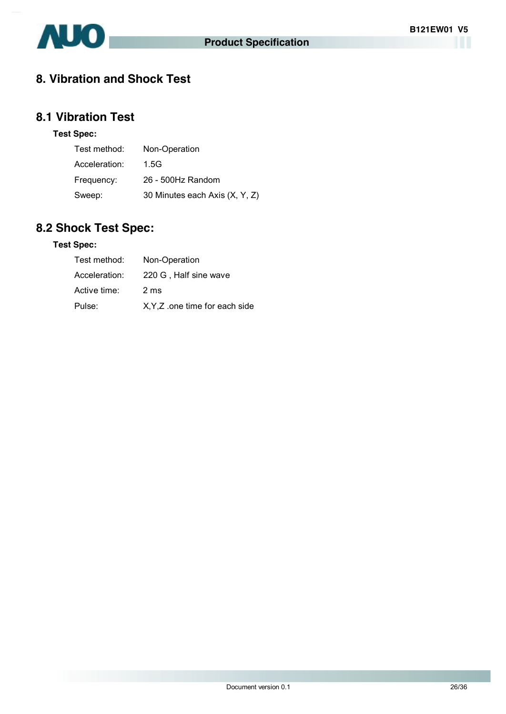

### **8. Vibration and Shock Test**

### **8.1 Vibration Test**

#### **Test Spec:**

| Test method:  | Non-Operation                  |
|---------------|--------------------------------|
| Acceleration: | 1.5G                           |
| Frequency:    | 26 - 500Hz Random              |
| Sweep:        | 30 Minutes each Axis (X, Y, Z) |

## **8.2 Shock Test Spec:**

#### **Test Spec:**

| Test method:  | Non-Operation                  |
|---------------|--------------------------------|
| Acceleration: | 220 G, Half sine wave          |
| Active time:  | 2 <sub>ms</sub>                |
| Pulse:        | X, Y, Z one time for each side |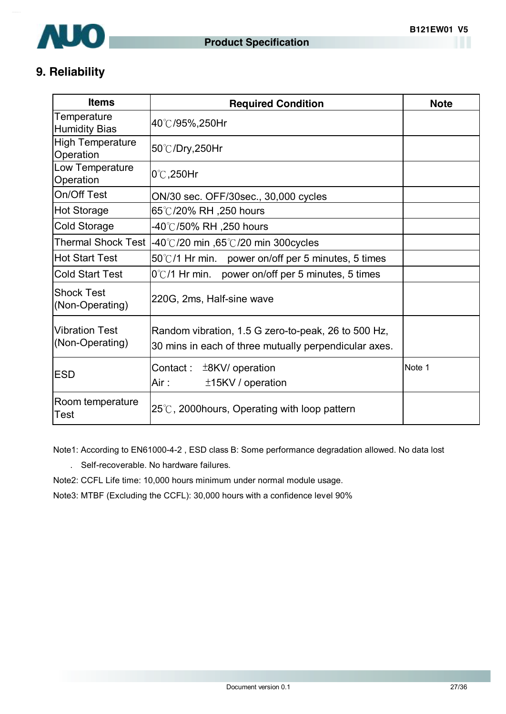

### **9. Reliability**

| <b>Items</b>                             | <b>Required Condition</b>                                                                                    | <b>Note</b> |
|------------------------------------------|--------------------------------------------------------------------------------------------------------------|-------------|
| Temperature<br>Humidity Bias             | 40℃/95%,250Hr                                                                                                |             |
| High Temperature<br>Operation            | 50℃/Dry,250Hr                                                                                                |             |
| Low Temperature<br>Operation             | $0^\circ\text{C}$ , 250Hr                                                                                    |             |
| On/Off Test                              | ON/30 sec. OFF/30sec., 30,000 cycles                                                                         |             |
| Hot Storage                              | 65°℃/20% RH ,250 hours                                                                                       |             |
| Cold Storage                             | -40℃/50% RH ,250 hours                                                                                       |             |
|                                          | Thermal Shock Test $ -40^{\circ}\text{C}/20$ min $,65^{\circ}\text{C}/20$ min 300 cycles                     |             |
| <b>Hot Start Test</b>                    | $50^{\circ}$ C/1 Hr min. power on/off per 5 minutes, 5 times                                                 |             |
| <b>Cold Start Test</b>                   | $0^{\circ}$ C/1 Hr min. power on/off per 5 minutes, 5 times                                                  |             |
| <b>Shock Test</b><br>(Non-Operating)     | 220G, 2ms, Half-sine wave                                                                                    |             |
| <b>Vibration Test</b><br>(Non-Operating) | Random vibration, 1.5 G zero-to-peak, 26 to 500 Hz,<br>30 mins in each of three mutually perpendicular axes. |             |
| <b>ESD</b>                               | Contact:<br>±8KV/ operation<br>±15KV / operation<br>Air :                                                    |             |
| Room temperature<br>Test                 | $25^{\circ}$ C, 2000 hours, Operating with loop pattern                                                      |             |

Note1: According to EN61000-4-2 , ESD class B: Some performance degradation allowed. No data lost

. Self-recoverable. No hardware failures.

Note2: CCFL Life time: 10,000 hours minimum under normal module usage.

Note3: MTBF (Excluding the CCFL): 30,000 hours with a confidence level 90%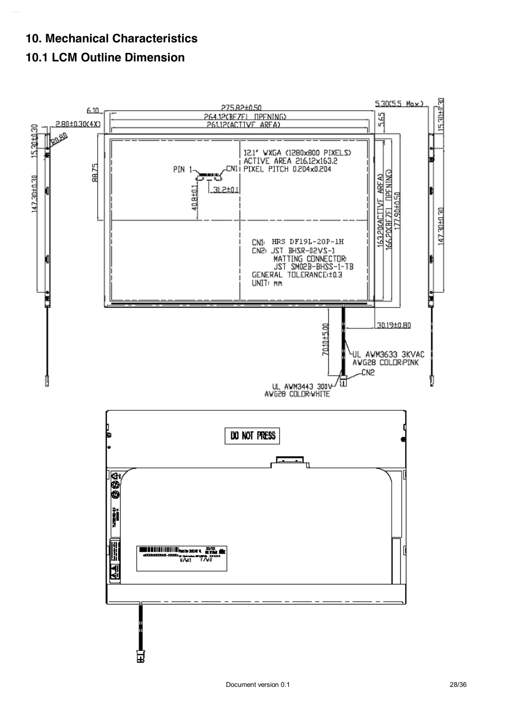### **10. Mechanical Characteristics**

### **10.1 LCM Outline Dimension**

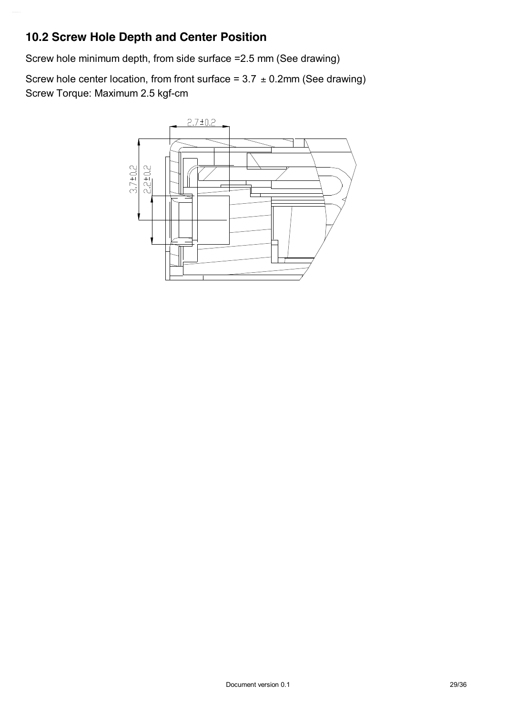### **10.2 Screw Hole Depth and Center Position**

Screw hole minimum depth, from side surface =2.5 mm (See drawing)

Screw hole center location, from front surface =  $3.7 \pm 0.2$ mm (See drawing) Screw Torque: Maximum 2.5 kgf-cm

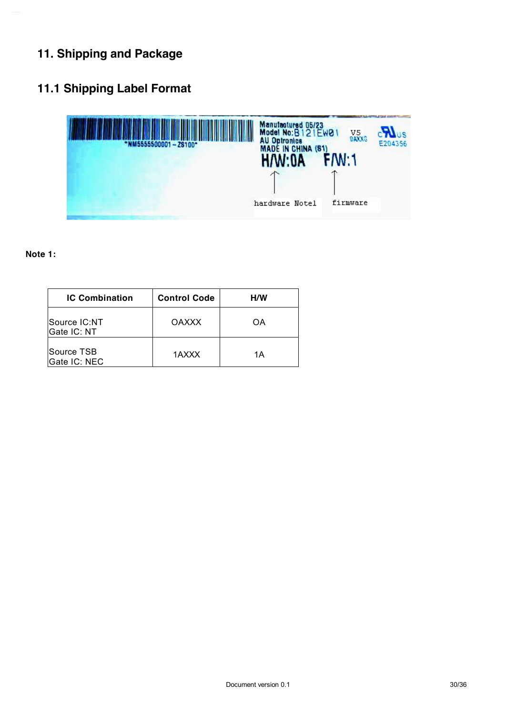## **11. Shipping and Package**

### **11.1 Shipping Label Format**



#### **Note 1:**

| <b>IC Combination</b>       | <b>Control Code</b> | <b>H/W</b> |  |  |
|-----------------------------|---------------------|------------|--|--|
| Source IC:NT<br>Gate IC: NT | <b>OAXXX</b>        | OΑ         |  |  |
| Source TSB<br>Gate IC: NEC  | 1AXXX               | 1Α         |  |  |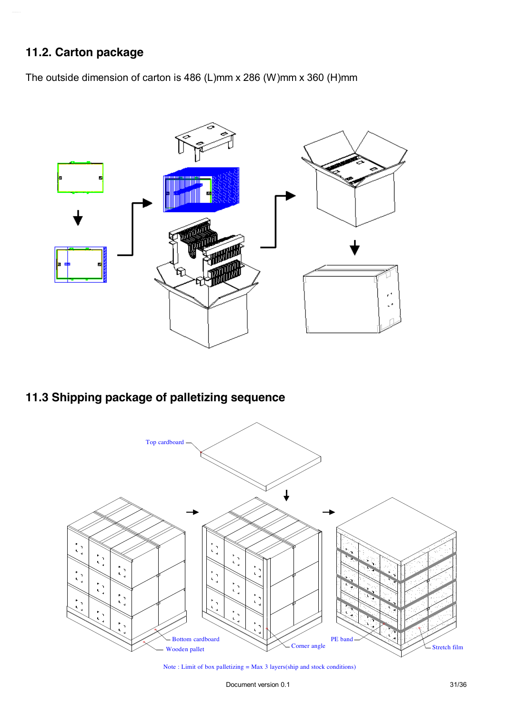### **11.2. Carton package**

The outside dimension of carton is 486 (L)mm x 286 (W)mm x 360 (H)mm



### **11.3 Shipping package of palletizing sequence**



Note : Limit of box palletizing = Max 3 layers(ship and stock conditions)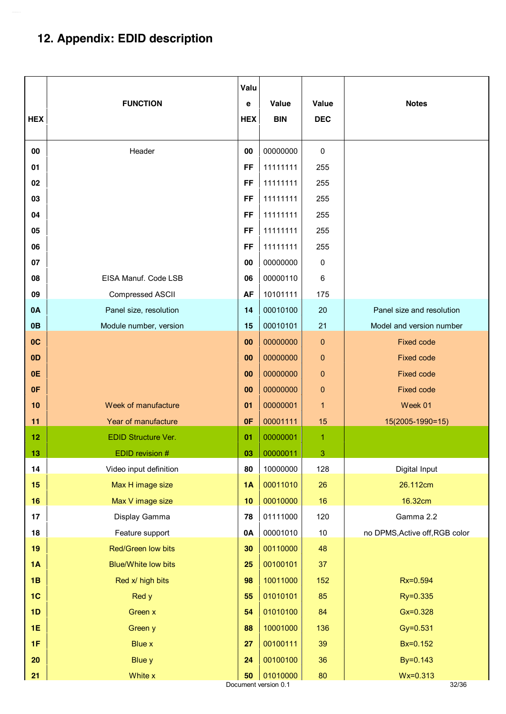# **12. Appendix: EDID description**

| <b>HEX</b>     | <b>FUNCTION</b>            | Valu<br>e<br><b>HEX</b> | Value<br><b>BIN</b>              | Value<br><b>DEC</b> | <b>Notes</b>                   |
|----------------|----------------------------|-------------------------|----------------------------------|---------------------|--------------------------------|
| 00             | Header                     | 00                      | 00000000                         | 0                   |                                |
| 01             |                            | FF                      | 11111111                         | 255                 |                                |
| 02<br>03       |                            | FF<br>FF                | 11111111<br>11111111             | 255<br>255          |                                |
| 04             |                            | FF                      | 11111111                         | 255                 |                                |
| 05             |                            | FF                      | 11111111                         | 255                 |                                |
| 06             |                            | FF                      | 11111111                         | 255                 |                                |
| 07             |                            | 00                      | 00000000                         | 0                   |                                |
| 08             | EISA Manuf. Code LSB       | 06                      | 00000110                         | 6                   |                                |
| 09             | Compressed ASCII           | <b>AF</b>               | 10101111                         | 175                 |                                |
| 0A             | Panel size, resolution     | 14                      | 00010100                         | 20                  | Panel size and resolution      |
| 0 <sub>B</sub> | Module number, version     | 15                      | 00010101                         | 21                  | Model and version number       |
| OC             |                            | 00                      | 00000000                         | 0                   | <b>Fixed code</b>              |
| 0 <sub>D</sub> |                            | 00                      | 00000000                         | $\pmb{0}$           | <b>Fixed code</b>              |
| 0E             |                            | 00                      | 00000000                         | $\mathbf 0$         | <b>Fixed code</b>              |
| 0F             |                            | 00                      | 00000000                         | $\pmb{0}$           | <b>Fixed code</b>              |
| 10             | Week of manufacture        | 01                      | 00000001                         | 1                   | Week 01                        |
| 11             | Year of manufacture        | 0F                      | 00001111                         | 15                  | 15(2005-1990=15)               |
| 12             | EDID Structure Ver.        | 01                      | 00000001                         | 1                   |                                |
| 13             | EDID revision $#$          | 03                      | 00000011                         | 3                   |                                |
| 14             | Video input definition     | 80                      | 10000000                         | 128                 | Digital Input                  |
| 15             | Max H image size           | 1A                      | 00011010                         | 26                  | 26.112cm                       |
| 16             | Max V image size           | 10                      | 00010000                         | 16                  | 16.32cm                        |
| 17             | Display Gamma              | 78                      | 01111000                         | 120                 | Gamma 2.2                      |
| 18             | Feature support            | 0A                      | 00001010                         | 10                  | no DPMS, Active off, RGB color |
| 19             | Red/Green low bits         | 30                      | 00110000                         | 48                  |                                |
| 1A             | <b>Blue/White low bits</b> | 25                      | 00100101                         | 37                  |                                |
| 1B             | Red x/ high bits           | 98                      | 10011000                         | 152                 | Rx=0.594                       |
| 1 <sub>C</sub> | Red y                      | 55                      | 01010101                         | 85                  | Ry=0.335                       |
| 1D             | Green x                    | 54                      | 01010100                         | 84                  | $Gx = 0.328$                   |
| <b>1E</b>      | Green y                    | 88                      | 10001000                         | 136                 | Gy=0.531                       |
| 1F             | <b>Blue x</b>              | 27                      | 00100111                         | 39                  | Bx=0.152                       |
| 20             | <b>Blue y</b>              | 24                      | 00100100                         | 36                  | By=0.143                       |
| 21             | White x                    | 50                      | 01010000<br>Document version 0.1 | 80                  | $Wx = 0.313$<br>32/36          |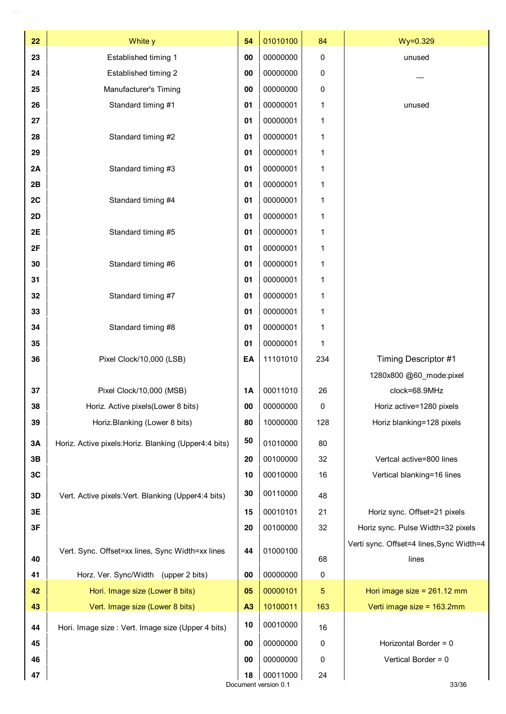| 22 | White y                                               | 54        | 01010100 | 84  | $Wy = 0.329$                             |  |  |
|----|-------------------------------------------------------|-----------|----------|-----|------------------------------------------|--|--|
| 23 | Established timing 1                                  | 00        | 00000000 | 0   | unused                                   |  |  |
| 24 | Established timing 2                                  | 00        | 00000000 | 0   |                                          |  |  |
| 25 | Manufacturer's Timing                                 | 00        | 00000000 | 0   |                                          |  |  |
| 26 | Standard timing #1                                    | 01        | 00000001 | 1   | unused                                   |  |  |
| 27 |                                                       | 01        | 00000001 | 1   |                                          |  |  |
| 28 | Standard timing #2                                    | 01        | 00000001 | 1   |                                          |  |  |
| 29 |                                                       | 01        | 00000001 | 1   |                                          |  |  |
| 2A | Standard timing #3                                    | 01        | 00000001 | 1   |                                          |  |  |
| 2B |                                                       | 01        | 00000001 | 1   |                                          |  |  |
| 2C | Standard timing #4                                    | 01        | 00000001 | 1   |                                          |  |  |
| 2D |                                                       | 01        | 00000001 | 1   |                                          |  |  |
| 2E | Standard timing #5                                    | 01        | 00000001 | 1   |                                          |  |  |
| 2F |                                                       | 01        | 00000001 | 1   |                                          |  |  |
| 30 | Standard timing #6                                    | 01        | 00000001 | 1   |                                          |  |  |
| 31 |                                                       | 01        | 00000001 | 1   |                                          |  |  |
| 32 | Standard timing #7                                    | 01        | 00000001 | 1   |                                          |  |  |
| 33 |                                                       | 01        | 00000001 | 1   |                                          |  |  |
| 34 | Standard timing #8                                    | 01        | 00000001 | 1   |                                          |  |  |
| 35 |                                                       | 01        | 00000001 | 1   |                                          |  |  |
| 36 | Pixel Clock/10,000 (LSB)                              | EA        | 11101010 | 234 | Timing Descriptor #1                     |  |  |
|    |                                                       |           |          |     | 1280x800 @60_mode:pixel                  |  |  |
| 37 | Pixel Clock/10,000 (MSB)                              | <b>1A</b> | 00011010 | 26  | clock=68.9MHz                            |  |  |
| 38 | Horiz. Active pixels (Lower 8 bits)                   | 00        | 00000000 | 0   | Horiz active=1280 pixels                 |  |  |
| 39 | Horiz.Blanking (Lower 8 bits)                         | 80        | 10000000 | 128 | Horiz blanking=128 pixels                |  |  |
| 3A | Horiz. Active pixels: Horiz. Blanking (Upper4:4 bits) | 50        | 01010000 | 80  |                                          |  |  |
| 3B |                                                       | 20        | 00100000 | 32  | Vertcal active=800 lines                 |  |  |
| 3C |                                                       | 10        | 00010000 | 16  | Vertical blanking=16 lines               |  |  |
| 3D | Vert. Active pixels: Vert. Blanking (Upper4:4 bits)   | 30        | 00110000 | 48  |                                          |  |  |
| 3E |                                                       | 15        | 00010101 | 21  | Horiz sync. Offset=21 pixels             |  |  |
| 3F |                                                       | 20        | 00100000 | 32  | Horiz sync. Pulse Width=32 pixels        |  |  |
|    |                                                       |           |          |     | Verti sync. Offset=4 lines, Sync Width=4 |  |  |
| 40 | Vert. Sync. Offset=xx lines, Sync Width=xx lines      | 44        | 01000100 | 68  | lines                                    |  |  |
| 41 | Horz. Ver. Sync/Width (upper 2 bits)                  | 00        | 00000000 | 0   |                                          |  |  |
| 42 | Hori. Image size (Lower 8 bits)                       | 05        | 00000101 | 5   | Hori image size = $261.12$ mm            |  |  |
| 43 | Vert. Image size (Lower 8 bits)                       | A3        | 10100011 | 163 | Verti image size = 163.2mm               |  |  |
| 44 | Hori. Image size : Vert. Image size (Upper 4 bits)    | 10        | 00010000 | 16  |                                          |  |  |
| 45 |                                                       | 00        | 00000000 | 0   | Horizontal Border = 0                    |  |  |
| 46 |                                                       | 00        | 00000000 | 0   | Vertical Border = 0                      |  |  |
| 47 |                                                       | 18        | 00011000 | 24  |                                          |  |  |
|    | Document version 0.1<br>33/36                         |           |          |     |                                          |  |  |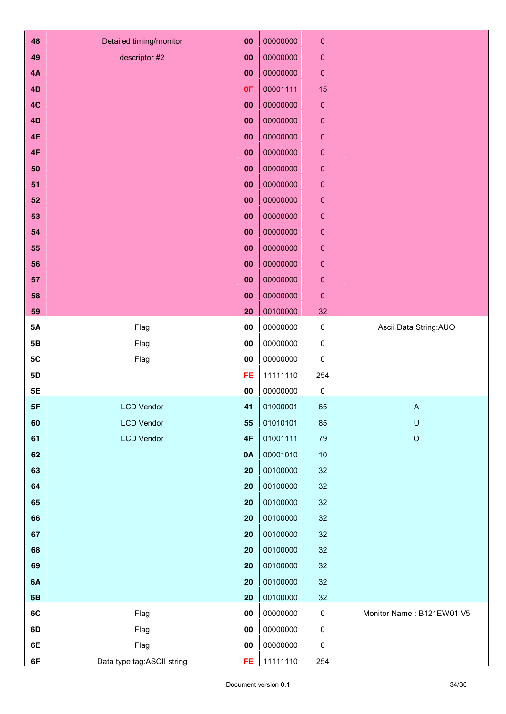| 48        | Detailed timing/monitor    | 00         | 00000000 | $\pmb{0}$   |                           |
|-----------|----------------------------|------------|----------|-------------|---------------------------|
| 49        | descriptor #2              | 00         | 00000000 | $\pmb{0}$   |                           |
| 4A        |                            | 00         | 00000000 | $\pmb{0}$   |                           |
| 4B        |                            | 0F         | 00001111 | 15          |                           |
| 4C        |                            | 00         | 00000000 | $\pmb{0}$   |                           |
| 4D        |                            | 00         | 00000000 | $\pmb{0}$   |                           |
| <b>4E</b> |                            | 00         | 00000000 | $\mathbf 0$ |                           |
| 4F        |                            | 00         | 00000000 | $\pmb{0}$   |                           |
| 50        |                            | 00         | 00000000 | $\pmb{0}$   |                           |
| 51        |                            | 00         | 00000000 | $\pmb{0}$   |                           |
| 52        |                            | 00         | 00000000 | $\pmb{0}$   |                           |
| 53        |                            | 00         | 00000000 | $\pmb{0}$   |                           |
| 54        |                            | 00         | 00000000 | $\pmb{0}$   |                           |
| 55        |                            | 00         | 00000000 | $\pmb{0}$   |                           |
| 56        |                            | 00         | 00000000 | $\pmb{0}$   |                           |
| 57        |                            | 00         | 00000000 | $\pmb{0}$   |                           |
| 58        |                            | 00         | 00000000 | $\pmb{0}$   |                           |
| 59        |                            | 20         | 00100000 | 32          |                           |
| 5A        | Flag                       | 00         | 00000000 | $\pmb{0}$   | Ascii Data String: AUO    |
| 5B        | Flag                       | 00         | 00000000 | 0           |                           |
| 5C        | Flag                       | 00         | 00000000 | 0           |                           |
| 5D        |                            | FE         | 11111110 | 254         |                           |
| <b>5E</b> |                            | 00         | 00000000 | 0           |                           |
| 5F        | <b>LCD Vendor</b>          | 41         | 01000001 | 65          | $\mathsf{A}$              |
| 60        | <b>LCD Vendor</b>          | 55         | 01010101 | 85          | $\mathsf U$               |
| 61        | <b>LCD Vendor</b>          | 4F         | 01001111 | 79          | $\hbox{O}$                |
| 62        |                            | 0A         | 00001010 | $10$        |                           |
| 63        |                            | 20         | 00100000 | 32          |                           |
| 64        |                            | 20         | 00100000 | 32          |                           |
| 65        |                            | 20         | 00100000 | 32          |                           |
| 66        |                            | 20         | 00100000 | 32          |                           |
| 67        |                            | 20         | 00100000 | 32          |                           |
| 68        |                            | 20         | 00100000 | 32          |                           |
| 69        |                            | 20         | 00100000 | 32          |                           |
| 6A        |                            | 20         | 00100000 | 32          |                           |
| 6B        |                            | 20         | 00100000 | 32          |                           |
| 6C        | Flag                       | ${\bf 00}$ | 00000000 | $\pmb{0}$   | Monitor Name: B121EW01 V5 |
| 6D        | Flag                       | ${\bf 00}$ | 00000000 | $\pmb{0}$   |                           |
| 6E        | Flag                       | 00         | 00000000 | $\pmb{0}$   |                           |
| 6F        | Data type tag:ASCII string | FE         | 11111110 | 254         |                           |